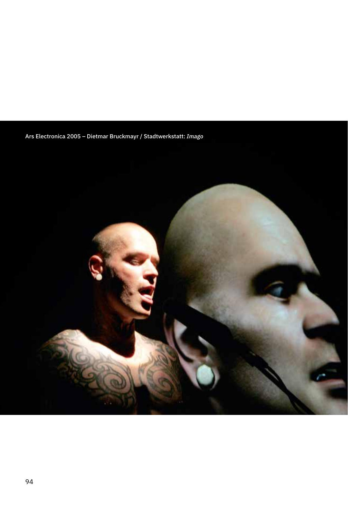Ars Electronica 2005 – Dietmar Bruckmayr / Stadtwerkstatt: *Imago*

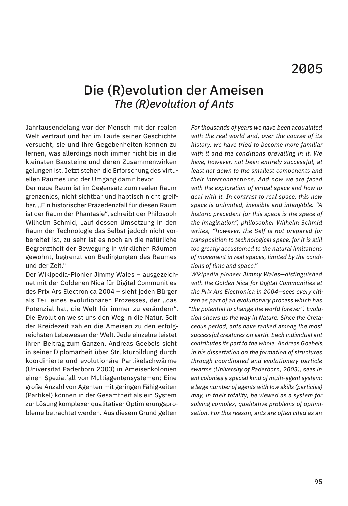## Die (R)evolution der Ameisen *The (R)evolution of Ants*

Jahrtausendelang war der Mensch mit der realen Welt vertraut und hat im Laufe seiner Geschichte versucht, sie und ihre Gegebenheiten kennen zu lernen, was allerdings noch immer nicht bis in die kleinsten Bausteine und deren Zusammenwirken gelungen ist. Jetzt stehen die Erforschung des virtuellen Raumes und der Umgang damit bevor.

Der neue Raum ist im Gegensatz zum realen Raum grenzenlos, nicht sichtbar und haptisch nicht greifbar. "Ein historischer Präzedenzfall für diesen Raum ist der Raum der Phantasie", schreibt der Philosoph Wilhelm Schmid, "auf dessen Umsetzung in den Raum der Technologie das Selbst jedoch nicht vorbereitet ist, zu sehr ist es noch an die natürliche Begrenztheit der Bewegung in wirklichen Räumen gewohnt, begrenzt von Bedingungen des Raumes und der Zeit."

Der Wikipedia-Pionier Jimmy Wales – ausgezeichnet mit der Goldenen Nica für Digital Communities des Prix Ars Electronica 2004 – sieht jeden Bürger als Teil eines evolutionären Prozesses, der "das Potenzial hat, die Welt für immer zu verändern". Die Evolution weist uns den Weg in die Natur. Seit der Kreidezeit zählen die Ameisen zu den erfolgreichsten Lebewesen der Welt. Jede einzelne leistet ihren Beitrag zum Ganzen. Andreas Goebels sieht in seiner Diplomarbeit über Strukturbildung durch koordinierte und evolutionäre Partikelschwärme (Universität Paderborn 2003) in Ameisenkolonien einen Spezialfall von Multiagentensystemen: Eine große Anzahl von Agenten mit geringen Fähigkeiten (Partikel) können in der Gesamtheit als ein System zur Lösung komplexer qualitativer Optimierungsprobleme betrachtet werden. Aus diesem Grund gelten

*For thousands of years we have been acquainted with the real world and, over the course of its history, we have tried to become more familiar with it and the conditions prevailing in it. We have, however, not been entirely successful, at least not down to the smallest components and their interconnections. And now we are faced with the exploration of virtual space and how to deal with it. In contrast to real space, this new space is unlimited, invisible and intangible. "A historic precedent for this space is the space of the imagination", philosopher Wilhelm Schmid writes, "however, the Self is not prepared for transposition to technological space, for it is still too greatly accustomed to the natural limitations of movement in real spaces, limited by the conditions of time and space."* 

*Wikipedia pioneer Jimmy Wales—distinguished with the Golden Nica for Digital Communities at the Prix Ars Electronica in 2004—sees every citizen as part of an evolutionary process which has "the potential to change the world forever". Evolution shows us the way in Nature. Since the Cretaceous period, ants have ranked among the most successful creatures on earth. Each individual ant contributes its part to the whole. Andreas Goebels, in his dissertation on the formation of structures through coordinated and evolutionary particle swarms (University of Paderborn, 2003), sees in ant colonies a special kind of multi-agent system: a large number of agents with low skills (particles) may, in their totality, be viewed as a system for solving complex, qualitative problems of optimisation. For this reason, ants are often cited as an*